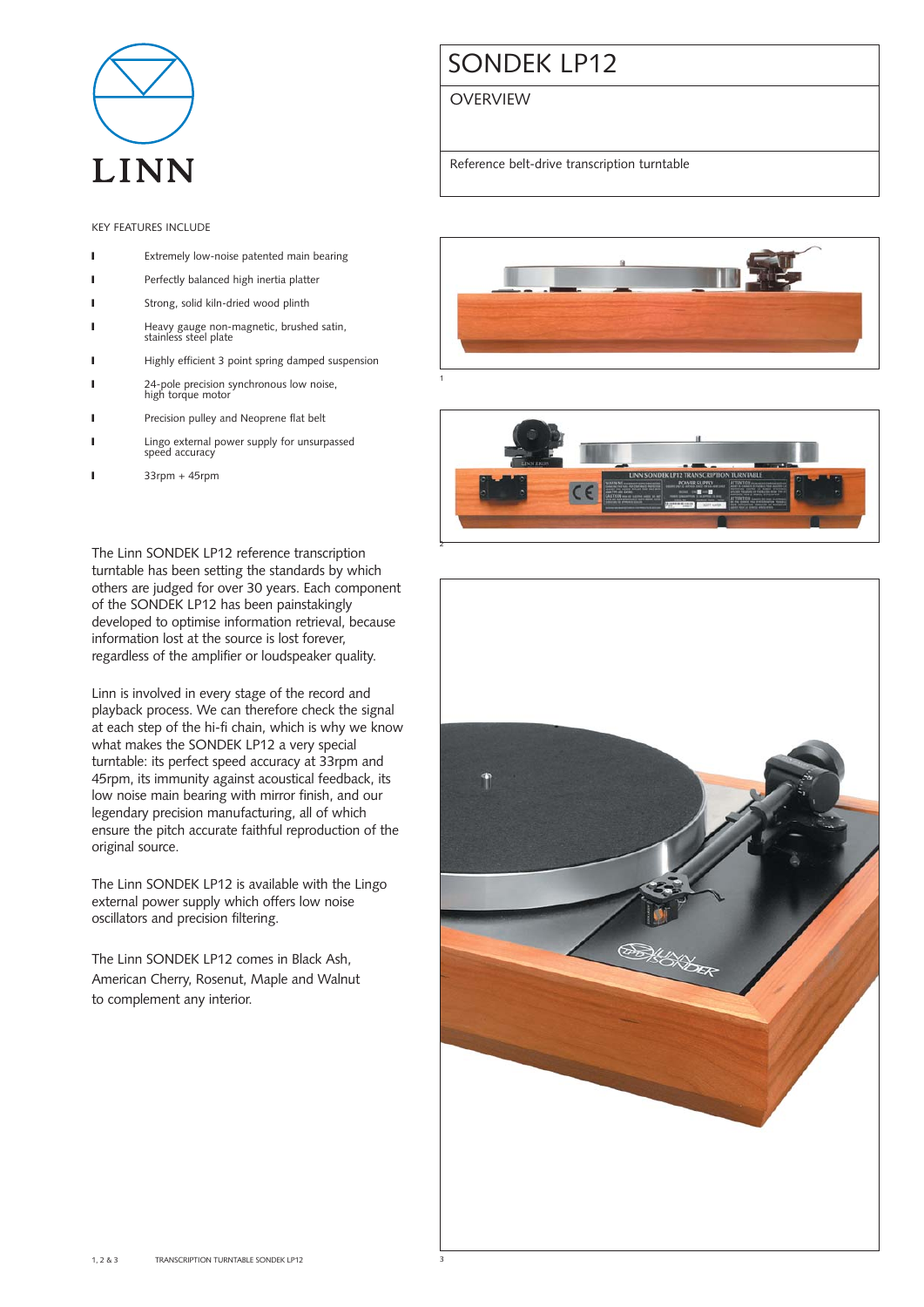

## KEY FEATURES INCLUDE

- **I** Extremely low-noise patented main bearing
- **I** Perfectly balanced high inertia platter
- I Strong, solid kiln-dried wood plinth
- ❙ Heavy gauge non-magnetic, brushed satin, stainless steel plate
- ❙ Highly efficient 3 point spring damped suspension
- **I** 24-pole precision synchronous low noise, high torque motor
- Precision pulley and Neoprene flat belt
- **I** Lingo external power supply for unsurpassed speed accuracy
- $33$ rpm +  $45$ rpm

The Linn SONDEK LP12 reference transcription turntable has been setting the standards by which others are judged for over 30 years. Each component of the SONDEK LP12 has been painstakingly developed to optimise information retrieval, because information lost at the source is lost forever, regardless of the amplifier or loudspeaker quality.

Linn is involved in every stage of the record and playback process. We can therefore check the signal at each step of the hi-fi chain, which is why we know what makes the SONDEK LP12 a very special turntable: its perfect speed accuracy at 33rpm and 45rpm, its immunity against acoustical feedback, its low noise main bearing with mirror finish, and our legendary precision manufacturing, all of which ensure the pitch accurate faithful reproduction of the original source.

The Linn SONDEK LP12 is available with the Lingo external power supply which offers low noise oscillators and precision filtering.

The Linn SONDEK LP12 comes in Black Ash, American Cherry, Rosenut, Maple and Walnut to complement any interior.

# SONDEK LP12

**OVERVIEW** 

Reference belt-drive transcription turntable